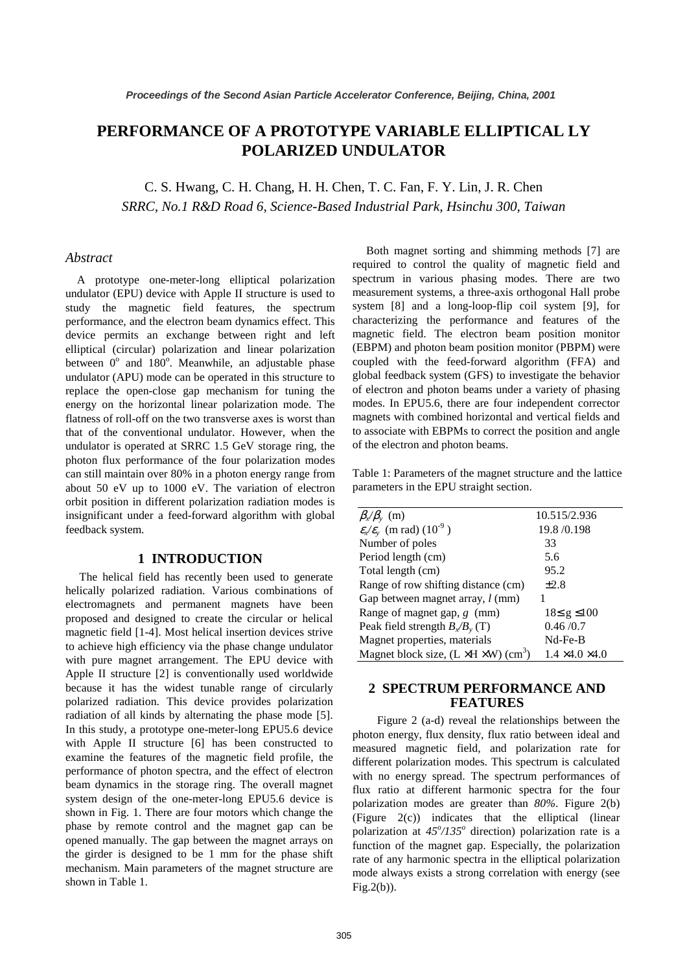# **PERFORMANCE OF A PROTOTYPE VARIABLE ELLIPTICAL LY POLARIZED UNDULATOR**

C. S. Hwang, C. H. Chang, H. H. Chen, T. C. Fan, F. Y. Lin, J. R. Chen *SRRC, No.1 R&D Road 6, Science-Based Industrial Park, Hsinchu 300, Taiwan*

#### *Abstract*

A prototype one-meter-long elliptical polarization undulator (EPU) device with Apple II structure is used to study the magnetic field features, the spectrum performance, and the electron beam dynamics effect. This device permits an exchange between right and left elliptical (circular) polarization and linear polarization between  $0^{\circ}$  and  $180^{\circ}$ . Meanwhile, an adjustable phase undulator (APU) mode can be operated in this structure to replace the open-close gap mechanism for tuning the energy on the horizontal linear polarization mode. The flatness of roll-off on the two transverse axes is worst than that of the conventional undulator. However, when the undulator is operated at SRRC 1.5 GeV storage ring, the photon flux performance of the four polarization modes can still maintain over 80% in a photon energy range from about 50 eV up to 1000 eV. The variation of electron orbit position in different polarization radiation modes is insignificant under a feed-forward algorithm with global feedback system.

## **1 INTRODUCTION**

The helical field has recently been used to generate helically polarized radiation. Various combinations of electromagnets and permanent magnets have been proposed and designed to create the circular or helical magnetic field [1-4]. Most helical insertion devices strive to achieve high efficiency via the phase change undulator with pure magnet arrangement. The EPU device with Apple II structure [2] is conventionally used worldwide because it has the widest tunable range of circularly polarized radiation. This device provides polarization radiation of all kinds by alternating the phase mode [5]. In this study, a prototype one-meter-long EPU5.6 device with Apple II structure [6] has been constructed to examine the features of the magnetic field profile, the performance of photon spectra, and the effect of electron beam dynamics in the storage ring. The overall magnet system design of the one-meter-long EPU5.6 device is shown in Fig. 1. There are four motors which change the phase by remote control and the magnet gap can be opened manually. The gap between the magnet arrays on the girder is designed to be 1 mm for the phase shift mechanism. Main parameters of the magnet structure are shown in Table 1.

 Both magnet sorting and shimming methods [7] are required to control the quality of magnetic field and spectrum in various phasing modes. There are two measurement systems, a three-axis orthogonal Hall probe system [8] and a long-loop-flip coil system [9], for characterizing the performance and features of the magnetic field. The electron beam position monitor (EBPM) and photon beam position monitor (PBPM) were coupled with the feed-forward algorithm (FFA) and global feedback system (GFS) to investigate the behavior of electron and photon beams under a variety of phasing modes. In EPU5.6, there are four independent corrector magnets with combined horizontal and vertical fields and to associate with EBPMs to correct the position and angle of the electron and photon beams.

Table 1: Parameters of the magnet structure and the lattice parameters in the EPU straight section.

| $\beta_x/\beta_y$ (m)                                         | 10.515/2.936                |
|---------------------------------------------------------------|-----------------------------|
| $\varepsilon_{x}/\varepsilon_{y}$ (m rad) $(10^{-9})$         | 19.8 / 0.198                |
| Number of poles                                               | 33                          |
| Period length (cm)                                            | 5.6                         |
| Total length (cm)                                             | 95.2                        |
| Range of row shifting distance (cm)                           | $\pm 2.8$                   |
| Gap between magnet array, <i>l</i> (mm)                       |                             |
| Range of magnet gap, $g$ (mm)                                 | $18 \le g \le 100$          |
| Peak field strength $B_x/B_y(T)$                              | 0.46/0.7                    |
| Magnet properties, materials                                  | $Nd$ -Fe-B                  |
| Magnet block size, $(L \times H \times W)$ (cm <sup>3</sup> ) | $1.4 \times 4.0 \times 4.0$ |

## **2 SPECTRUM PERFORMANCE AND FEATURES**

 Figure 2 (a-d) reveal the relationships between the photon energy, flux density, flux ratio between ideal and measured magnetic field, and polarization rate for different polarization modes. This spectrum is calculated with no energy spread. The spectrum performances of flux ratio at different harmonic spectra for the four polarization modes are greater than *80%*. Figure 2(b) (Figure 2(c)) indicates that the elliptical (linear polarization at  $45^{\circ}/135^{\circ}$  direction) polarization rate is a function of the magnet gap. Especially, the polarization rate of any harmonic spectra in the elliptical polarization mode always exists a strong correlation with energy (see Fig.2(b)).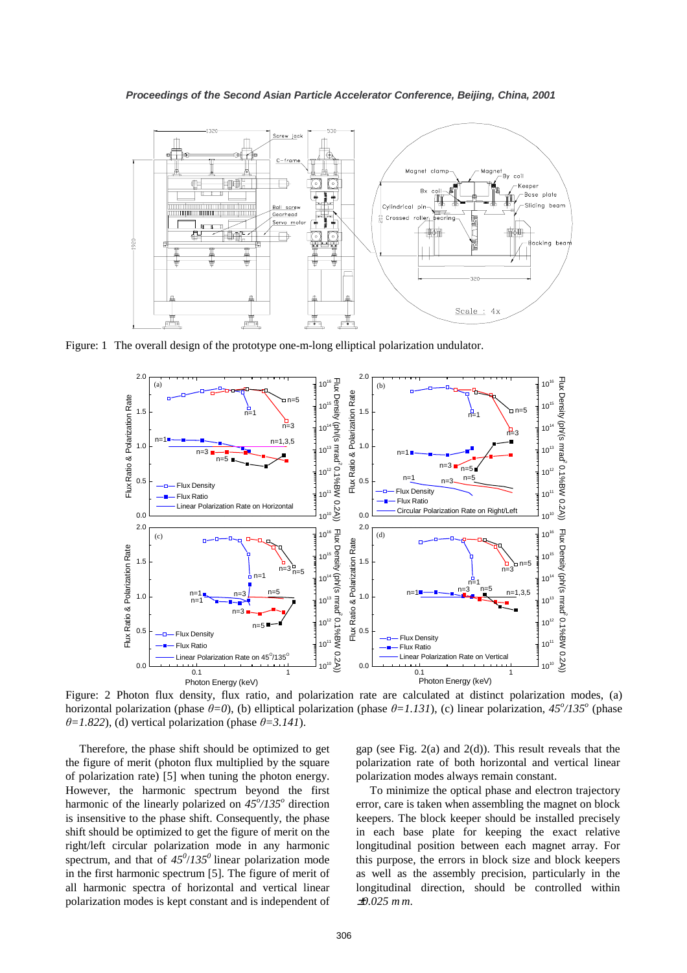

Figure: 1 The overall design of the prototype one-m-long elliptical polarization undulator.



Figure: 2 Photon flux density, flux ratio, and polarization rate are calculated at distinct polarization modes, (a) horizontal polarization (phase  $\theta = 0$ ), (b) elliptical polarization (phase  $\theta = 1.131$ ), (c) linear polarization,  $45^{\circ}/135^{\circ}$  (phase  $\theta$ =1.822), (d) vertical polarization (phase  $\theta$ =3.141).

 Therefore, the phase shift should be optimized to get the figure of merit (photon flux multiplied by the square of polarization rate) [5] when tuning the photon energy. However, the harmonic spectrum beyond the first harmonic of the linearly polarized on  $45^{\circ}/135^{\circ}$  direction is insensitive to the phase shift. Consequently, the phase shift should be optimized to get the figure of merit on the right/left circular polarization mode in any harmonic spectrum, and that of  $45^{\circ}/135^{\circ}$  linear polarization mode in the first harmonic spectrum [5]. The figure of merit of all harmonic spectra of horizontal and vertical linear polarization modes is kept constant and is independent of

gap (see Fig. 2(a) and 2(d)). This result reveals that the polarization rate of both horizontal and vertical linear polarization modes always remain constant.

To minimize the optical phase and electron trajectory error, care is taken when assembling the magnet on block keepers. The block keeper should be installed precisely in each base plate for keeping the exact relative longitudinal position between each magnet array. For this purpose, the errors in block size and block keepers as well as the assembly precision, particularly in the longitudinal direction, should be controlled within <sup>±</sup>*0.025 m m*.